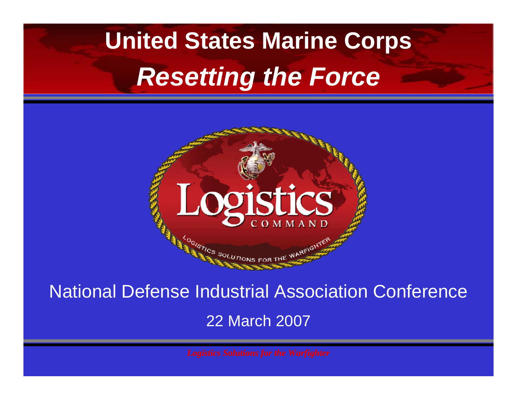## **United States Marine Corps** *Resetting the Force*



National Defense Industrial Association Conference

22 March 2007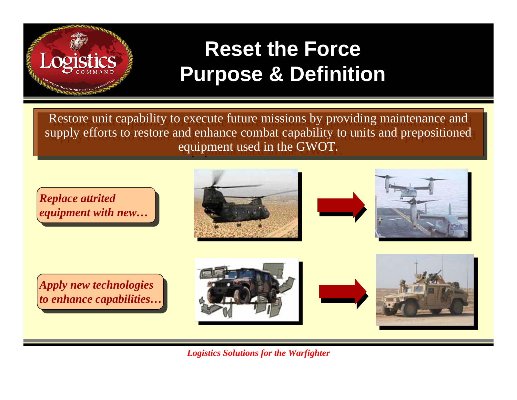

### **Reset the Force Purpose & Definition**

Restore unit capability to execute future missions by providing maintenance and Restore unit capability to execute future missions by providing maintenance and supply efforts to restore and enhance combat capability to units and prepositioned supply efforts to restore and enhance combat capability to units and prepositioned equipment used in the GWOT. equipment used in the GWOT.

*Replace attrited equipment with new…*







*Apply new technologies to enhance capabilities…*

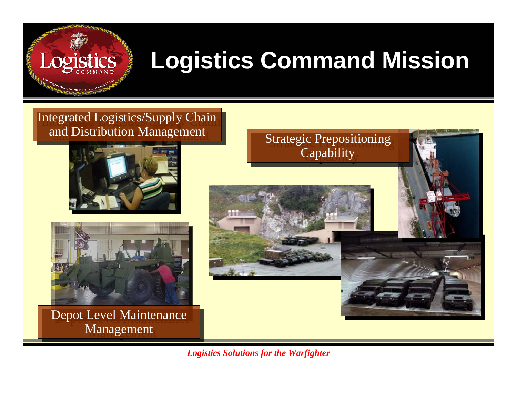### Logistics

### **Logistics Command Mission**

#### Integrated Logistics/Supply Chain Integrated Logistics/Supply Chain and Distribution Management and Distribution Management





Depot Level Maintenance Depot Level Maintenance Management Management

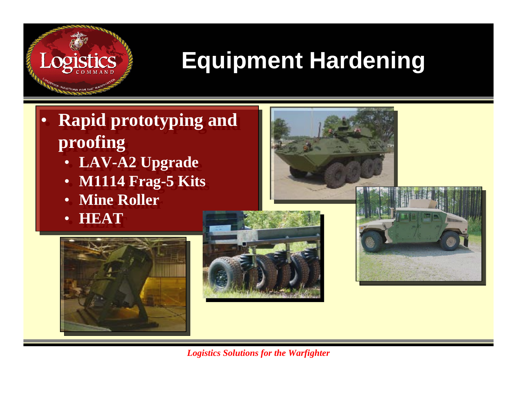### **Equipment Hardening**

- **Rapid prototyping and Rapid prototyping and proofing proofing**  $\bullet$ 
	- **LAV-A2 Upgrade LAV-A2 Upgrade**
	- **M1114 Frag-5 Kits M1114 Frag-5 Kits** •
	- **Mine Roller Mine Roller**•
	- **HEAT HEAT** •

Logistics





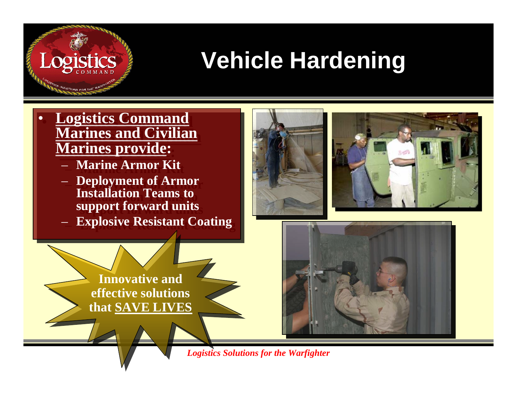# **Vehicle Hardening**

 **Logistics Command Logistics Command Marines and Civilian Marines and Civilian Marines provide: Marines provide:** •

Logistics

- **Marine Armor Kit Marine Armor Kit**
- **Deployment of Armor Deployment of Armor Installation Teams to Installation Teams to support forward units support forward units**
- **Explosive Resistant Coating Explosive Resistant Coating**

**Innovative and** 

**effective solutions** 

**that SAVE LIVES**



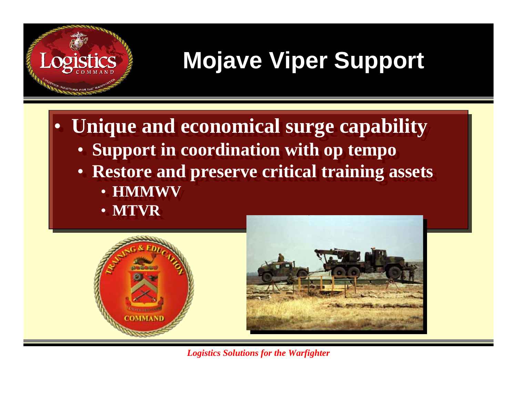### **Mojave Viper Support**

- **Unique and economical surge capability Unique and economical surge capability**
	- **Support in coordination with op tempo Support in coordination with op tempo**
	- **Restore and preserve critical training assets Restore and preserve critical training assets**
		- **HMMWV HMMWV**
		- **MTVR MTVR**

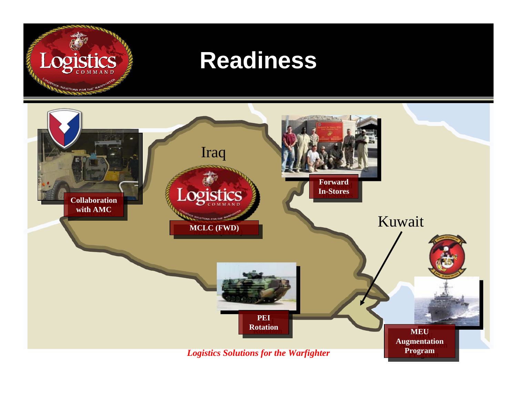# Logistics

TICS SOLUTIONS FOR THE

#### **Readiness**

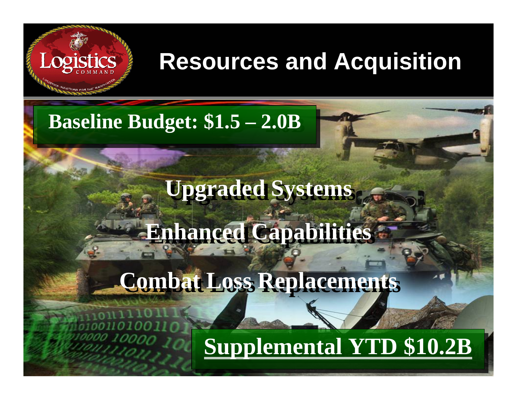### **Resources and Acquisition**

#### **Baseline Budget: \$1.5 – Baseline Budget: \$1.5 – 2.0B 2.0B**

**Logistics** 

### **Upgraded Systems Upgraded Systems**

## **Enhanced Capabilities Enhanced Capabilities**

### **Combat Loss Replacements Combat Loss Replacements**

#### *Logistics Solutions for the Warfighter* **Supplemental YTD \$10.2B Supplemental YTD \$10.2B**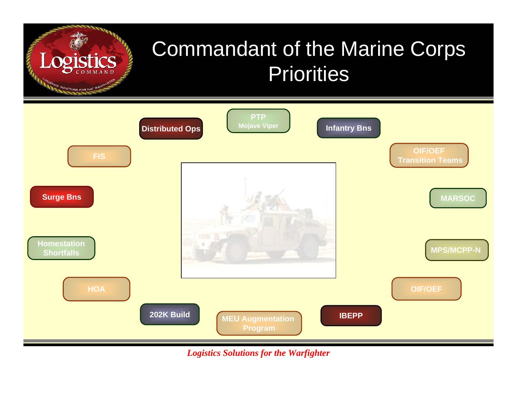### Commandant of the Marine Corps Priorities



**DISTICS SOLUTIONS FOR THE WAS** 

*Logistics Solutions for the Warfighter*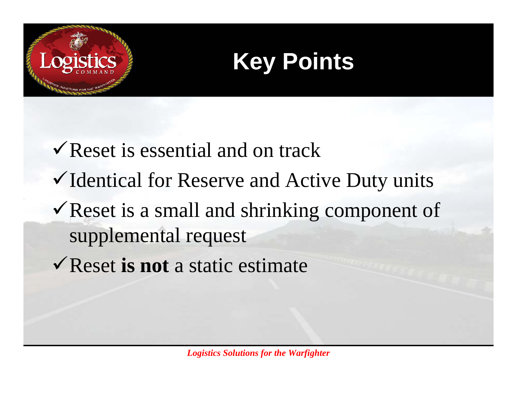



- $\sqrt{\text{Reset}}$  is essential and on track  $\checkmark$  Identical for Reserve and Active Duty units  $\checkmark$  Reset is a small and shrinking component of supplemental request
- 9Reset **is not** a static estimate